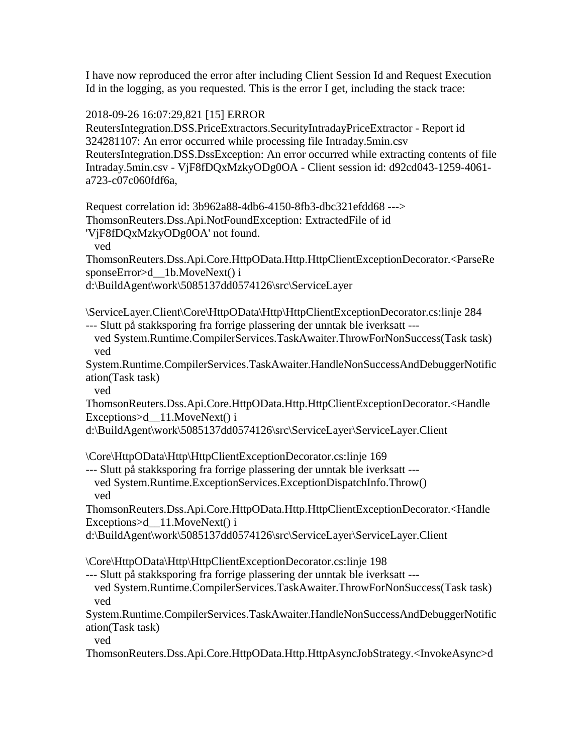I have now reproduced the error after including Client Session Id and Request Execution Id in the logging, as you requested. This is the error I get, including the stack trace:

2018-09-26 16:07:29,821 [15] ERROR

ReutersIntegration.DSS.PriceExtractors.SecurityIntradayPriceExtractor - Report id 324281107: An error occurred while processing file Intraday.5min.csv ReutersIntegration.DSS.DssException: An error occurred while extracting contents of file Intraday.5min.csv - VjF8fDQxMzkyODg0OA - Client session id: d92cd043-1259-4061 a723-c07c060fdf6a,

Request correlation id: 3b962a88-4db6-4150-8fb3-dbc321efdd68 ---> ThomsonReuters.Dss.Api.NotFoundException: ExtractedFile of id

'VjF8fDQxMzkyODg0OA' not found.

ved

ThomsonReuters.Dss.Api.Core.HttpOData.Http.HttpClientExceptionDecorator.<ParseRe sponseError>d 1b.MoveNext() i

d:\BuildAgent\work\5085137dd0574126\src\ServiceLayer

\ServiceLayer.Client\Core\HttpOData\Http\HttpClientExceptionDecorator.cs:linje 284 --- Slutt på stakksporing fra forrige plassering der unntak ble iverksatt ---

 ved System.Runtime.CompilerServices.TaskAwaiter.ThrowForNonSuccess(Task task) ved

System.Runtime.CompilerServices.TaskAwaiter.HandleNonSuccessAndDebuggerNotific ation(Task task)

ved

ThomsonReuters.Dss.Api.Core.HttpOData.Http.HttpClientExceptionDecorator.<Handle Exceptions>d 11.MoveNext() i

d:\BuildAgent\work\5085137dd0574126\src\ServiceLayer\ServiceLayer.Client

\Core\HttpOData\Http\HttpClientExceptionDecorator.cs:linje 169

--- Slutt på stakksporing fra forrige plassering der unntak ble iverksatt -- ved System.Runtime.ExceptionServices.ExceptionDispatchInfo.Throw() ved

ThomsonReuters.Dss.Api.Core.HttpOData.Http.HttpClientExceptionDecorator.<Handle Exceptions>d\_\_11.MoveNext() i

d:\BuildAgent\work\5085137dd0574126\src\ServiceLayer\ServiceLayer.Client

\Core\HttpOData\Http\HttpClientExceptionDecorator.cs:linje 198

--- Slutt på stakksporing fra forrige plassering der unntak ble iverksatt ---

 ved System.Runtime.CompilerServices.TaskAwaiter.ThrowForNonSuccess(Task task) ved

System.Runtime.CompilerServices.TaskAwaiter.HandleNonSuccessAndDebuggerNotific ation(Task task)

ved

ThomsonReuters.Dss.Api.Core.HttpOData.Http.HttpAsyncJobStrategy.<InvokeAsync>d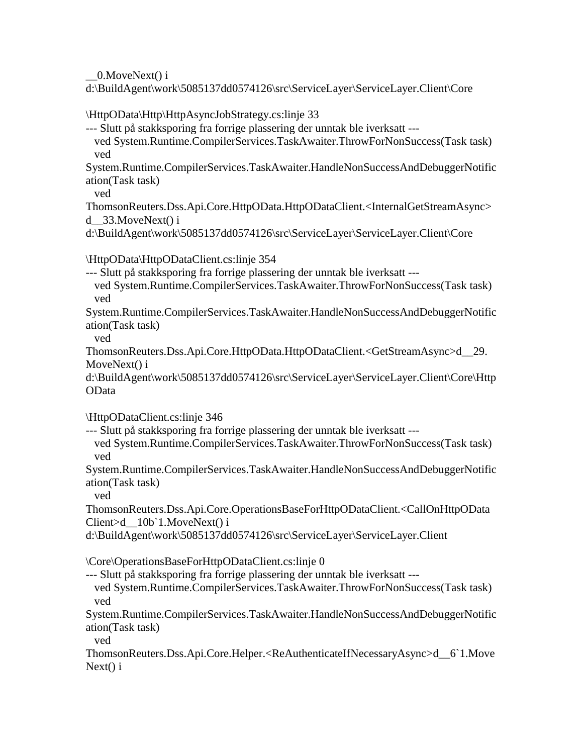\_\_0.MoveNext() i

d:\BuildAgent\work\5085137dd0574126\src\ServiceLayer\ServiceLayer.Client\Core

\HttpOData\Http\HttpAsyncJobStrategy.cs:linje 33

--- Slutt på stakksporing fra forrige plassering der unntak ble iverksatt ---

 ved System.Runtime.CompilerServices.TaskAwaiter.ThrowForNonSuccess(Task task) ved

System.Runtime.CompilerServices.TaskAwaiter.HandleNonSuccessAndDebuggerNotific ation(Task task)

ved

ThomsonReuters.Dss.Api.Core.HttpOData.HttpODataClient.<InternalGetStreamAsync> d\_\_33.MoveNext() i

d:\BuildAgent\work\5085137dd0574126\src\ServiceLayer\ServiceLayer.Client\Core

\HttpOData\HttpODataClient.cs:linje 354

--- Slutt på stakksporing fra forrige plassering der unntak ble iverksatt ---

 ved System.Runtime.CompilerServices.TaskAwaiter.ThrowForNonSuccess(Task task) ved

System.Runtime.CompilerServices.TaskAwaiter.HandleNonSuccessAndDebuggerNotific ation(Task task)

ved

ThomsonReuters.Dss.Api.Core.HttpOData.HttpODataClient.<GetStreamAsync>d\_\_29. MoveNext() i

d:\BuildAgent\work\5085137dd0574126\src\ServiceLayer\ServiceLayer.Client\Core\Http OData

\HttpODataClient.cs:linje 346

--- Slutt på stakksporing fra forrige plassering der unntak ble iverksatt ---

 ved System.Runtime.CompilerServices.TaskAwaiter.ThrowForNonSuccess(Task task) ved

System.Runtime.CompilerServices.TaskAwaiter.HandleNonSuccessAndDebuggerNotific ation(Task task)

ved

ThomsonReuters.Dss.Api.Core.OperationsBaseForHttpODataClient.<CallOnHttpOData Client>d\_\_10b`1.MoveNext() i

d:\BuildAgent\work\5085137dd0574126\src\ServiceLayer\ServiceLayer.Client

\Core\OperationsBaseForHttpODataClient.cs:linje 0

--- Slutt på stakksporing fra forrige plassering der unntak ble iverksatt ---

 ved System.Runtime.CompilerServices.TaskAwaiter.ThrowForNonSuccess(Task task) ved

System.Runtime.CompilerServices.TaskAwaiter.HandleNonSuccessAndDebuggerNotific ation(Task task)

ved

ThomsonReuters.Dss.Api.Core.Helper.<ReAuthenticateIfNecessaryAsync>d\_\_6`1.Move Next() i